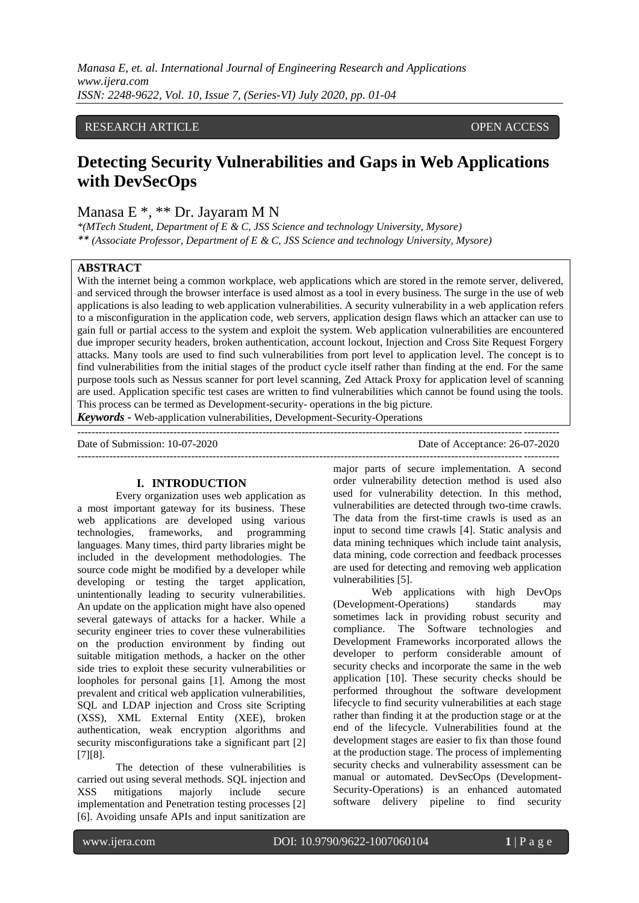## RESEARCH ARTICLE **CONSERVERS** OPEN ACCESS

# **Detecting Security Vulnerabilities and Gaps in Web Applications with DevSecOps**

Manasa E \*, \*\* Dr. Jayaram M N

*\*(MTech Student, Department of E & C, JSS Science and technology University, Mysore) \*\* (Associate Professor, Department of E & C, JSS Science and technology University, Mysore)*

## **ABSTRACT**

With the internet being a common workplace, web applications which are stored in the remote server, delivered, and serviced through the browser interface is used almost as a tool in every business. The surge in the use of web applications is also leading to web application vulnerabilities. A security vulnerability in a web application refers to a misconfiguration in the application code, web servers, application design flaws which an attacker can use to gain full or partial access to the system and exploit the system. Web application vulnerabilities are encountered due improper security headers, broken authentication, account lockout, Injection and Cross Site Request Forgery attacks. Many tools are used to find such vulnerabilities from port level to application level. The concept is to find vulnerabilities from the initial stages of the product cycle itself rather than finding at the end. For the same purpose tools such as Nessus scanner for port level scanning, Zed Attack Proxy for application level of scanning are used. Application specific test cases are written to find vulnerabilities which cannot be found using the tools. This process can be termed as Development-security- operations in the big picture.

*Keywords* **-** Web-application vulnerabilities, Development-Security-Operations

--------------------------------------------------------------------------------------------------------------------------------------- Date of Submission: 10-07-2020 Date of Acceptance: 26-07-2020

# **I. INTRODUCTION**

Every organization uses web application as a most important gateway for its business. These web applications are developed using various technologies, frameworks, and programming languages. Many times, third party libraries might be included in the development methodologies. The source code might be modified by a developer while developing or testing the target application, unintentionally leading to security vulnerabilities. An update on the application might have also opened several gateways of attacks for a hacker. While a security engineer tries to cover these vulnerabilities on the production environment by finding out suitable mitigation methods, a hacker on the other side tries to exploit these security vulnerabilities or loopholes for personal gains [1]. Among the most prevalent and critical web application vulnerabilities, SQL and LDAP injection and Cross site Scripting (XSS), XML External Entity (XEE), broken authentication, weak encryption algorithms and security misconfigurations take a significant part [2] [7][8].

The detection of these vulnerabilities is carried out using several methods. SQL injection and XSS mitigations majorly include secure implementation and Penetration testing processes [2] [6]. Avoiding unsafe APIs and input sanitization are

major parts of secure implementation. A second order vulnerability detection method is used also used for vulnerability detection. In this method, vulnerabilities are detected through two-time crawls. The data from the first-time crawls is used as an input to second time crawls [4]. Static analysis and data mining techniques which include taint analysis, data mining, code correction and feedback processes are used for detecting and removing web application vulnerabilities [5].

---------------------------------------------------------------------------------------------------------------------------------------

Web applications with high DevOps (Development-Operations) standards may sometimes lack in providing robust security and compliance. The Software technologies and Development Frameworks incorporated allows the developer to perform considerable amount of security checks and incorporate the same in the web application [10]. These security checks should be performed throughout the software development lifecycle to find security vulnerabilities at each stage rather than finding it at the production stage or at the end of the lifecycle. Vulnerabilities found at the development stages are easier to fix than those found at the production stage. The process of implementing security checks and vulnerability assessment can be manual or automated. DevSecOps (Development-Security-Operations) is an enhanced automated software delivery pipeline to find security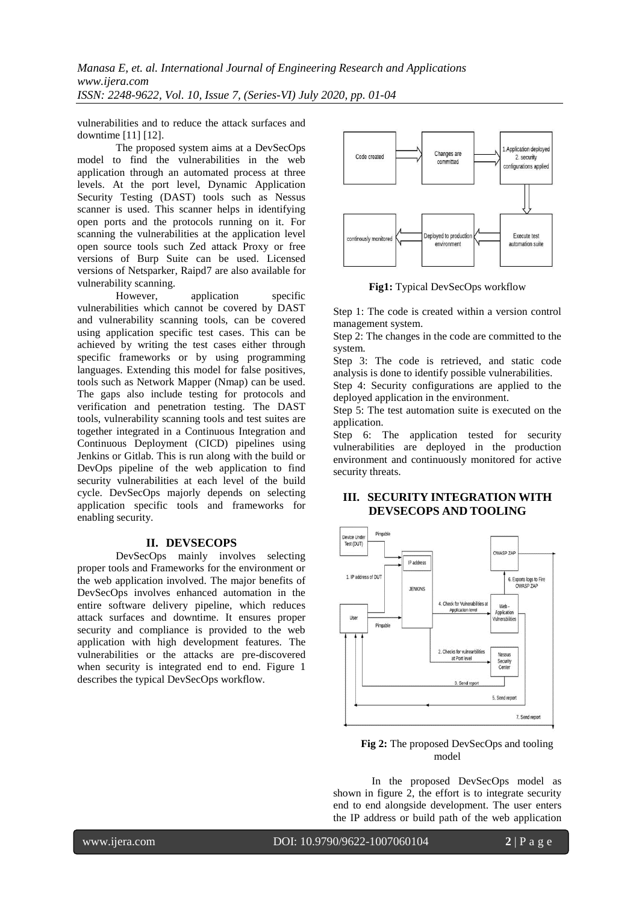*Manasa E, et. al. International Journal of Engineering Research and Applications www.ijera.com ISSN: 2248-9622, Vol. 10, Issue 7, (Series-VI) July 2020, pp. 01-04*

vulnerabilities and to reduce the attack surfaces and downtime [11] [12].

The proposed system aims at a DevSecOps model to find the vulnerabilities in the web application through an automated process at three levels. At the port level, Dynamic Application Security Testing (DAST) tools such as Nessus scanner is used. This scanner helps in identifying open ports and the protocols running on it. For scanning the vulnerabilities at the application level open source tools such Zed attack Proxy or free versions of Burp Suite can be used. Licensed versions of Netsparker, Raipd7 are also available for vulnerability scanning.<br>However.

application specific vulnerabilities which cannot be covered by DAST and vulnerability scanning tools, can be covered using application specific test cases. This can be achieved by writing the test cases either through specific frameworks or by using programming languages. Extending this model for false positives, tools such as Network Mapper (Nmap) can be used. The gaps also include testing for protocols and verification and penetration testing. The DAST tools, vulnerability scanning tools and test suites are together integrated in a Continuous Integration and Continuous Deployment (CICD) pipelines using Jenkins or Gitlab. This is run along with the build or DevOps pipeline of the web application to find security vulnerabilities at each level of the build cycle. DevSecOps majorly depends on selecting application specific tools and frameworks for enabling security.

#### **II. DEVSECOPS**

DevSecOps mainly involves selecting proper tools and Frameworks for the environment or the web application involved. The major benefits of DevSecOps involves enhanced automation in the entire software delivery pipeline, which reduces attack surfaces and downtime. It ensures proper security and compliance is provided to the web application with high development features. The vulnerabilities or the attacks are pre-discovered when security is integrated end to end. Figure 1 describes the typical DevSecOps workflow.



**Fig1:** Typical DevSecOps workflow

Step 1: The code is created within a version control management system.

Step 2: The changes in the code are committed to the system.

Step 3: The code is retrieved, and static code analysis is done to identify possible vulnerabilities. Step 4: Security configurations are applied to the

deployed application in the environment. Step 5: The test automation suite is executed on the

application.

Step 6: The application tested for security vulnerabilities are deployed in the production environment and continuously monitored for active security threats.

## **III. SECURITY INTEGRATION WITH DEVSECOPS AND TOOLING**



**Fig 2:** The proposed DevSecOps and tooling model

In the proposed DevSecOps model as shown in figure 2, the effort is to integrate security end to end alongside development. The user enters the IP address or build path of the web application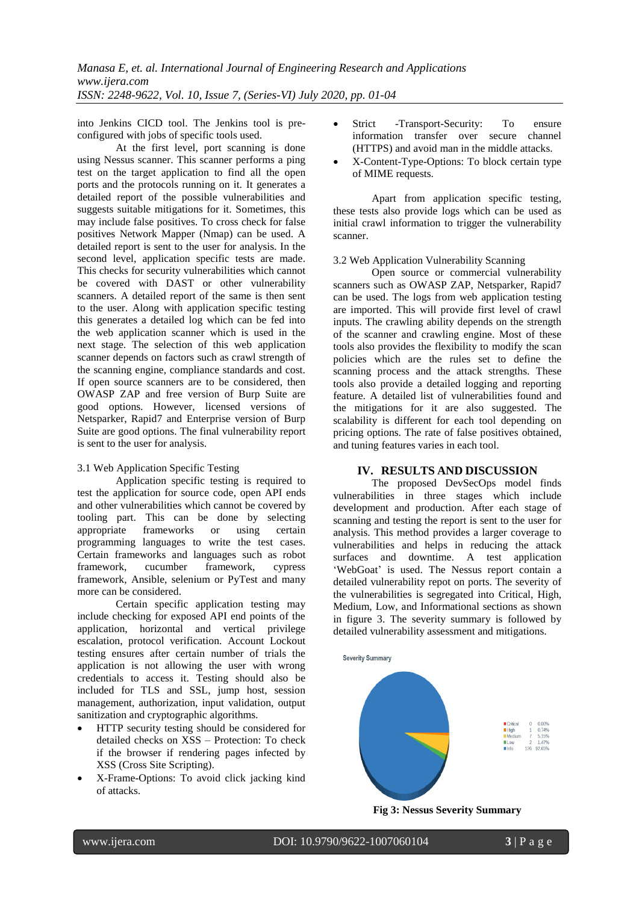into Jenkins CICD tool. The Jenkins tool is preconfigured with jobs of specific tools used.

At the first level, port scanning is done using Nessus scanner. This scanner performs a ping test on the target application to find all the open ports and the protocols running on it. It generates a detailed report of the possible vulnerabilities and suggests suitable mitigations for it. Sometimes, this may include false positives. To cross check for false positives Network Mapper (Nmap) can be used. A detailed report is sent to the user for analysis. In the second level, application specific tests are made. This checks for security vulnerabilities which cannot be covered with DAST or other vulnerability scanners. A detailed report of the same is then sent to the user. Along with application specific testing this generates a detailed log which can be fed into the web application scanner which is used in the next stage. The selection of this web application scanner depends on factors such as crawl strength of the scanning engine, compliance standards and cost. If open source scanners are to be considered, then OWASP ZAP and free version of Burp Suite are good options. However, licensed versions of Netsparker, Rapid7 and Enterprise version of Burp Suite are good options. The final vulnerability report is sent to the user for analysis.

## 3.1 Web Application Specific Testing

Application specific testing is required to test the application for source code, open API ends and other vulnerabilities which cannot be covered by tooling part. This can be done by selecting appropriate frameworks or using certain programming languages to write the test cases. Certain frameworks and languages such as robot framework, cucumber framework, cypress framework, Ansible, selenium or PyTest and many more can be considered.

Certain specific application testing may include checking for exposed API end points of the application, horizontal and vertical privilege escalation, protocol verification. Account Lockout testing ensures after certain number of trials the application is not allowing the user with wrong credentials to access it. Testing should also be included for TLS and SSL, jump host, session management, authorization, input validation, output sanitization and cryptographic algorithms.

- HTTP security testing should be considered for detailed checks on XSS – Protection: To check if the browser if rendering pages infected by XSS (Cross Site Scripting).
- X-Frame-Options: To avoid click jacking kind of attacks.
- Strict -Transport-Security: To ensure information transfer over secure channel (HTTPS) and avoid man in the middle attacks.
- X-Content-Type-Options: To block certain type of MIME requests.

Apart from application specific testing, these tests also provide logs which can be used as initial crawl information to trigger the vulnerability scanner.

### 3.2 Web Application Vulnerability Scanning

Open source or commercial vulnerability scanners such as OWASP ZAP, Netsparker, Rapid7 can be used. The logs from web application testing are imported. This will provide first level of crawl inputs. The crawling ability depends on the strength of the scanner and crawling engine. Most of these tools also provides the flexibility to modify the scan policies which are the rules set to define the scanning process and the attack strengths. These tools also provide a detailed logging and reporting feature. A detailed list of vulnerabilities found and the mitigations for it are also suggested. The scalability is different for each tool depending on pricing options. The rate of false positives obtained, and tuning features varies in each tool.

## **IV. RESULTS AND DISCUSSION**

The proposed DevSecOps model finds vulnerabilities in three stages which include development and production. After each stage of scanning and testing the report is sent to the user for analysis. This method provides a larger coverage to vulnerabilities and helps in reducing the attack surfaces and downtime. A test application 'WebGoat' is used. The Nessus report contain a detailed vulnerability repot on ports. The severity of the vulnerabilities is segregated into Critical, High, Medium, Low, and Informational sections as shown in figure 3. The severity summary is followed by detailed vulnerability assessment and mitigations.



**Fig 3: Nessus Severity Summary**